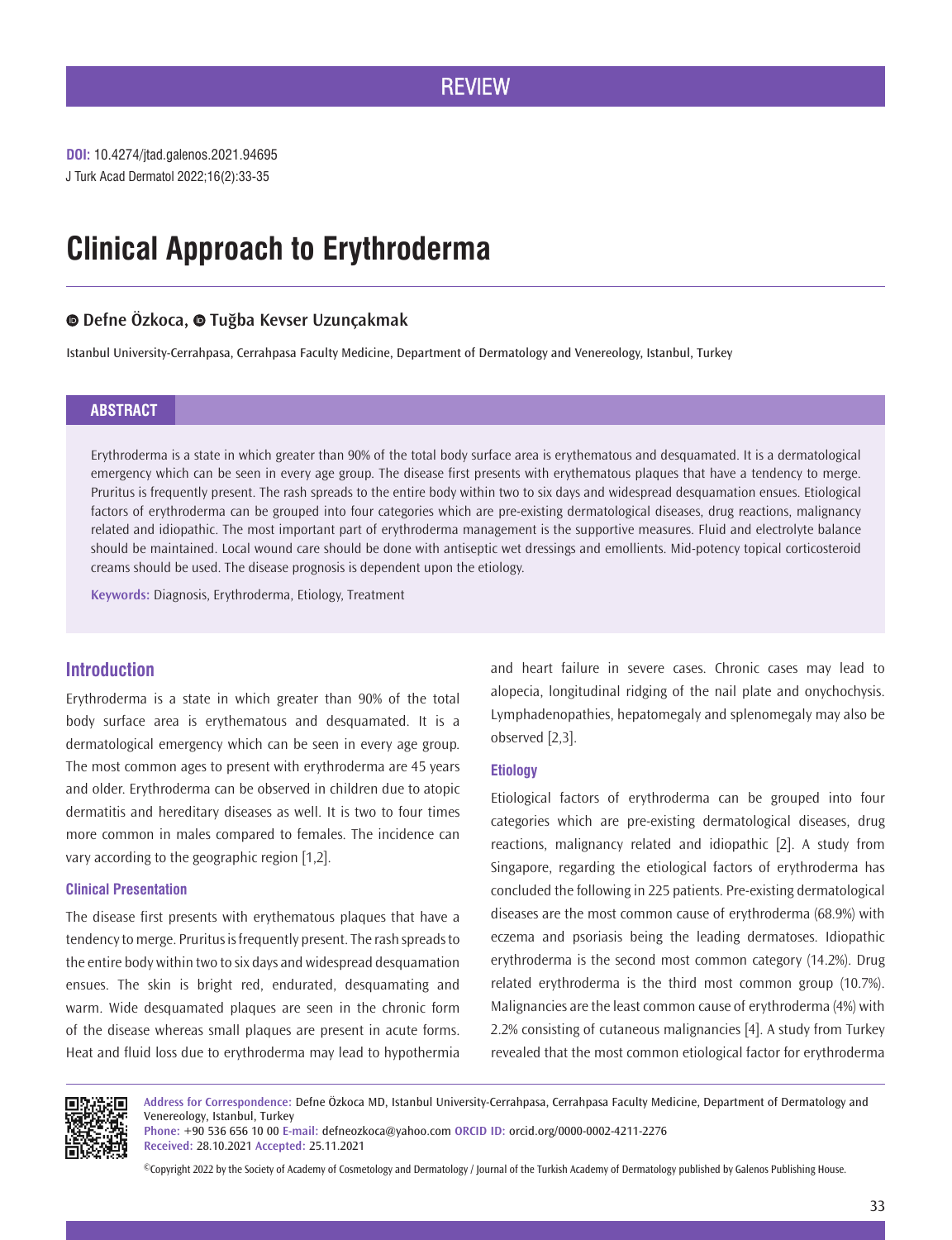# **REVIEW**

J Turk Acad Dermatol 2022;16(2):33-35 **DOI:** 10.4274/jtad.galenos.2021.94695

# **Clinical Approach to Erythroderma**

# **Defne Özkoca,Tuğba Kevser Uzunçakmak**

Istanbul University-Cerrahpasa, Cerrahpasa Faculty Medicine, Department of Dermatology and Venereology, Istanbul, Turkey

## **ABSTRACT**

Erythroderma is a state in which greater than 90% of the total body surface area is erythematous and desquamated. It is a dermatological emergency which can be seen in every age group. The disease first presents with erythematous plaques that have a tendency to merge. Pruritus is frequently present. The rash spreads to the entire body within two to six days and widespread desquamation ensues. Etiological factors of erythroderma can be grouped into four categories which are pre-existing dermatological diseases, drug reactions, malignancy related and idiopathic. The most important part of erythroderma management is the supportive measures. Fluid and electrolyte balance should be maintained. Local wound care should be done with antiseptic wet dressings and emollients. Mid-potency topical corticosteroid creams should be used. The disease prognosis is dependent upon the etiology.

**Keywords:** Diagnosis, Erythroderma, Etiology, Treatment

# **Introduction**

Erythroderma is a state in which greater than 90% of the total body surface area is erythematous and desquamated. It is a dermatological emergency which can be seen in every age group. The most common ages to present with erythroderma are 45 years and older. Erythroderma can be observed in children due to atopic dermatitis and hereditary diseases as well. It is two to four times more common in males compared to females. The incidence can vary according to the geographic region [1,2].

#### **Clinical Presentation**

The disease first presents with erythematous plaques that have a tendency to merge. Pruritus is frequently present. The rash spreads to the entire body within two to six days and widespread desquamation ensues. The skin is bright red, endurated, desquamating and warm. Wide desquamated plaques are seen in the chronic form of the disease whereas small plaques are present in acute forms. Heat and fluid loss due to erythroderma may lead to hypothermia and heart failure in severe cases. Chronic cases may lead to alopecia, longitudinal ridging of the nail plate and onychochysis. Lymphadenopathies, hepatomegaly and splenomegaly may also be observed [2,3].

## **Etiology**

Etiological factors of erythroderma can be grouped into four categories which are pre-existing dermatological diseases, drug reactions, malignancy related and idiopathic [2]. A study from Singapore, regarding the etiological factors of erythroderma has concluded the following in 225 patients. Pre-existing dermatological diseases are the most common cause of erythroderma (68.9%) with eczema and psoriasis being the leading dermatoses. Idiopathic erythroderma is the second most common category (14.2%). Drug related erythroderma is the third most common group (10.7%). Malignancies are the least common cause of erythroderma (4%) with 2.2% consisting of cutaneous malignancies [4]. A study from Turkey revealed that the most common etiological factor for erythroderma



**Address for Correspondence:** Defne Özkoca MD, Istanbul University-Cerrahpasa, Cerrahpasa Faculty Medicine, Department of Dermatology and Venereology, Istanbul, Turkey

**Phone:** +90 536 656 10 00 **E-mail:** defneozkoca@yahoo.com **ORCID ID:** orcid.org/0000-0002-4211-2276 **Received:** 28.10.2021 **Accepted:** 25.11.2021

©Copyright 2022 by the Society of Academy of Cosmetology and Dermatology / Journal of the Turkish Academy of Dermatology published by Galenos Publishing House.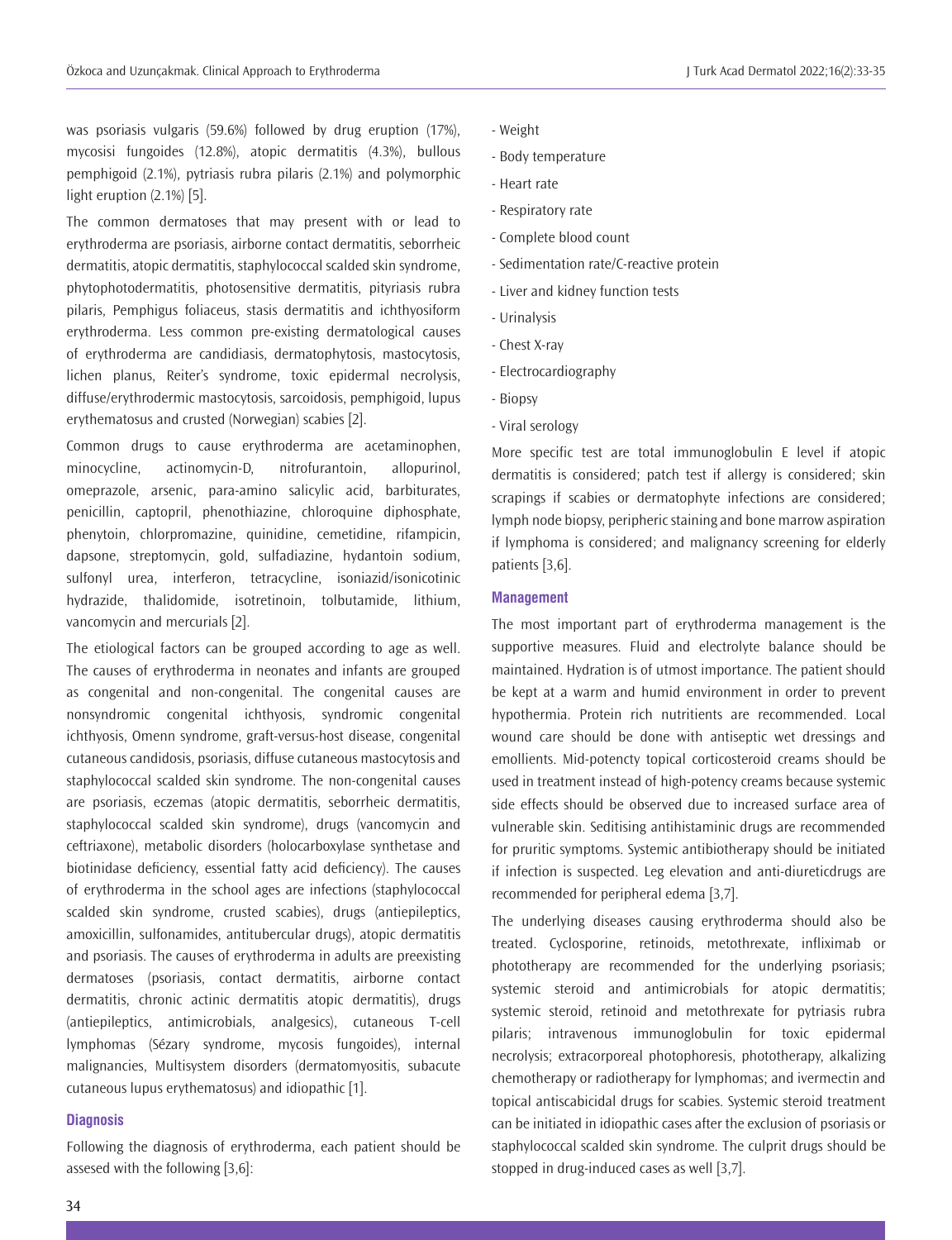was psoriasis vulgaris (59.6%) followed by drug eruption (17%), mycosisi fungoides (12.8%), atopic dermatitis (4.3%), bullous pemphigoid (2.1%), pytriasis rubra pilaris (2.1%) and polymorphic light eruption (2.1%) [5].

The common dermatoses that may present with or lead to erythroderma are psoriasis, airborne contact dermatitis, seborrheic dermatitis, atopic dermatitis, staphylococcal scalded skin syndrome, phytophotodermatitis, photosensitive dermatitis, pityriasis rubra pilaris, Pemphigus foliaceus, stasis dermatitis and ichthyosiform erythroderma. Less common pre-existing dermatological causes of erythroderma are candidiasis, dermatophytosis, mastocytosis, lichen planus, Reiter's syndrome, toxic epidermal necrolysis, diffuse/erythrodermic mastocytosis, sarcoidosis, pemphigoid, lupus erythematosus and crusted (Norwegian) scabies [2].

Common drugs to cause erythroderma are acetaminophen, minocycline, actinomycin-D, nitrofurantoin, allopurinol, omeprazole, arsenic, para-amino salicylic acid, barbiturates, penicillin, captopril, phenothiazine, chloroquine diphosphate, phenytoin, chlorpromazine, quinidine, cemetidine, rifampicin, dapsone, streptomycin, gold, sulfadiazine, hydantoin sodium, sulfonyl urea, interferon, tetracycline, isoniazid/isonicotinic hydrazide, thalidomide, isotretinoin, tolbutamide, lithium, vancomycin and mercurials [2].

The etiological factors can be grouped according to age as well. The causes of erythroderma in neonates and infants are grouped as congenital and non-congenital. The congenital causes are nonsyndromic congenital ichthyosis, syndromic congenital ichthyosis, Omenn syndrome, graft-versus-host disease, congenital cutaneous candidosis, psoriasis, diffuse cutaneous mastocytosis and staphylococcal scalded skin syndrome. The non-congenital causes are psoriasis, eczemas (atopic dermatitis, seborrheic dermatitis, staphylococcal scalded skin syndrome), drugs (vancomycin and ceftriaxone), metabolic disorders (holocarboxylase synthetase and biotinidase deficiency, essential fatty acid deficiency). The causes of erythroderma in the school ages are infections (staphylococcal scalded skin syndrome, crusted scabies), drugs (antiepileptics, amoxicillin, sulfonamides, antitubercular drugs), atopic dermatitis and psoriasis. The causes of erythroderma in adults are preexisting dermatoses (psoriasis, contact dermatitis, airborne contact dermatitis, chronic actinic dermatitis atopic dermatitis), drugs (antiepileptics, antimicrobials, analgesics), cutaneous T-cell lymphomas (Sézary syndrome, mycosis fungoides), internal malignancies, Multisystem disorders (dermatomyositis, subacute cutaneous lupus erythematosus) and idiopathic [1].

#### **Diagnosis**

Following the diagnosis of erythroderma, each patient should be assesed with the following [3,6]:

- Weight
- Body temperature
- Heart rate
- Respiratory rate
- Complete blood count
- Sedimentation rate/C-reactive protein
- Liver and kidney function tests
- Urinalysis
- Chest X-ray
- Electrocardiography
- Biopsy
- Viral serology

More specific test are total immunoglobulin E level if atopic dermatitis is considered; patch test if allergy is considered; skin scrapings if scabies or dermatophyte infections are considered; lymph node biopsy, peripheric staining and bone marrow aspiration if lymphoma is considered; and malignancy screening for elderly patients [3,6].

#### **Management**

The most important part of erythroderma management is the supportive measures. Fluid and electrolyte balance should be maintained. Hydration is of utmost importance. The patient should be kept at a warm and humid environment in order to prevent hypothermia. Protein rich nutritients are recommended. Local wound care should be done with antiseptic wet dressings and emollients. Mid-potencty topical corticosteroid creams should be used in treatment instead of high-potency creams because systemic side effects should be observed due to increased surface area of vulnerable skin. Seditising antihistaminic drugs are recommended for pruritic symptoms. Systemic antibiotherapy should be initiated if infection is suspected. Leg elevation and anti-diureticdrugs are recommended for peripheral edema [3,7].

The underlying diseases causing erythroderma should also be treated. Cyclosporine, retinoids, metothrexate, infliximab or phototherapy are recommended for the underlying psoriasis; systemic steroid and antimicrobials for atopic dermatitis; systemic steroid, retinoid and metothrexate for pytriasis rubra pilaris; intravenous immunoglobulin for toxic epidermal necrolysis; extracorporeal photophoresis, phototherapy, alkalizing chemotherapy or radiotherapy for lymphomas; and ivermectin and topical antiscabicidal drugs for scabies. Systemic steroid treatment can be initiated in idiopathic cases after the exclusion of psoriasis or staphylococcal scalded skin syndrome. The culprit drugs should be stopped in drug-induced cases as well [3,7].